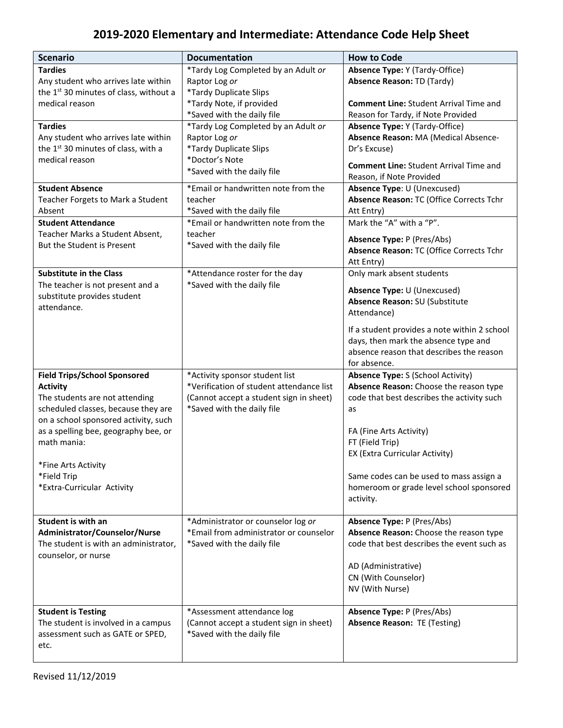## **2019-2020 Elementary and Intermediate: Attendance Code Help Sheet**

| <b>Scenario</b>                                    | <b>Documentation</b>                     | <b>How to Code</b>                                                               |
|----------------------------------------------------|------------------------------------------|----------------------------------------------------------------------------------|
| <b>Tardies</b>                                     | *Tardy Log Completed by an Adult or      | <b>Absence Type: Y (Tardy-Office)</b>                                            |
| Any student who arrives late within                | Raptor Log or                            | <b>Absence Reason: TD (Tardy)</b>                                                |
| the 1 <sup>st</sup> 30 minutes of class, without a | *Tardy Duplicate Slips                   |                                                                                  |
| medical reason                                     | *Tardy Note, if provided                 | <b>Comment Line: Student Arrival Time and</b>                                    |
|                                                    | *Saved with the daily file               | Reason for Tardy, if Note Provided                                               |
| <b>Tardies</b>                                     | *Tardy Log Completed by an Adult or      | <b>Absence Type: Y (Tardy-Office)</b>                                            |
| Any student who arrives late within                | Raptor Log or                            | Absence Reason: MA (Medical Absence-                                             |
| the 1 <sup>st</sup> 30 minutes of class, with a    | *Tardy Duplicate Slips                   | Dr's Excuse)                                                                     |
| medical reason                                     | *Doctor's Note                           | <b>Comment Line: Student Arrival Time and</b>                                    |
|                                                    | *Saved with the daily file               | Reason, if Note Provided                                                         |
| <b>Student Absence</b>                             | *Email or handwritten note from the      | Absence Type: U (Unexcused)                                                      |
| Teacher Forgets to Mark a Student                  | teacher                                  | Absence Reason: TC (Office Corrects Tchr                                         |
| Absent                                             | *Saved with the daily file               | Att Entry)                                                                       |
| <b>Student Attendance</b>                          | *Email or handwritten note from the      | Mark the "A" with a "P".                                                         |
| Teacher Marks a Student Absent,                    | teacher                                  |                                                                                  |
| But the Student is Present                         | *Saved with the daily file               | Absence Type: P (Pres/Abs)                                                       |
|                                                    |                                          | Absence Reason: TC (Office Corrects Tchr                                         |
|                                                    |                                          | Att Entry)                                                                       |
| <b>Substitute in the Class</b>                     | *Attendance roster for the day           | Only mark absent students                                                        |
| The teacher is not present and a                   | *Saved with the daily file               | Absence Type: U (Unexcused)                                                      |
| substitute provides student                        |                                          | Absence Reason: SU (Substitute                                                   |
| attendance.                                        |                                          | Attendance)                                                                      |
|                                                    |                                          |                                                                                  |
|                                                    |                                          | If a student provides a note within 2 school                                     |
|                                                    |                                          | days, then mark the absence type and<br>absence reason that describes the reason |
|                                                    |                                          | for absence.                                                                     |
| <b>Field Trips/School Sponsored</b>                | *Activity sponsor student list           | <b>Absence Type: S (School Activity)</b>                                         |
| <b>Activity</b>                                    | *Verification of student attendance list | Absence Reason: Choose the reason type                                           |
| The students are not attending                     | (Cannot accept a student sign in sheet)  | code that best describes the activity such                                       |
| scheduled classes, because they are                | *Saved with the daily file               | as                                                                               |
| on a school sponsored activity, such               |                                          |                                                                                  |
| as a spelling bee, geography bee, or               |                                          | FA (Fine Arts Activity)                                                          |
| math mania:                                        |                                          | FT (Field Trip)                                                                  |
|                                                    |                                          | EX (Extra Curricular Activity)                                                   |
| *Fine Arts Activity                                |                                          |                                                                                  |
| *Field Trip                                        |                                          | Same codes can be used to mass assign a                                          |
| *Extra-Curricular Activity                         |                                          | homeroom or grade level school sponsored                                         |
|                                                    |                                          | activity.                                                                        |
|                                                    |                                          |                                                                                  |
| Student is with an                                 | *Administrator or counselor log or       | Absence Type: P (Pres/Abs)                                                       |
| Administrator/Counselor/Nurse                      | *Email from administrator or counselor   | Absence Reason: Choose the reason type                                           |
| The student is with an administrator,              | *Saved with the daily file               | code that best describes the event such as                                       |
| counselor, or nurse                                |                                          |                                                                                  |
|                                                    |                                          | AD (Administrative)                                                              |
|                                                    |                                          | CN (With Counselor)                                                              |
|                                                    |                                          | NV (With Nurse)                                                                  |
|                                                    |                                          |                                                                                  |
| <b>Student is Testing</b>                          | *Assessment attendance log               | <b>Absence Type: P (Pres/Abs)</b>                                                |
| The student is involved in a campus                | (Cannot accept a student sign in sheet)  | <b>Absence Reason: TE (Testing)</b>                                              |
| assessment such as GATE or SPED,                   | *Saved with the daily file               |                                                                                  |
| etc.                                               |                                          |                                                                                  |
|                                                    |                                          |                                                                                  |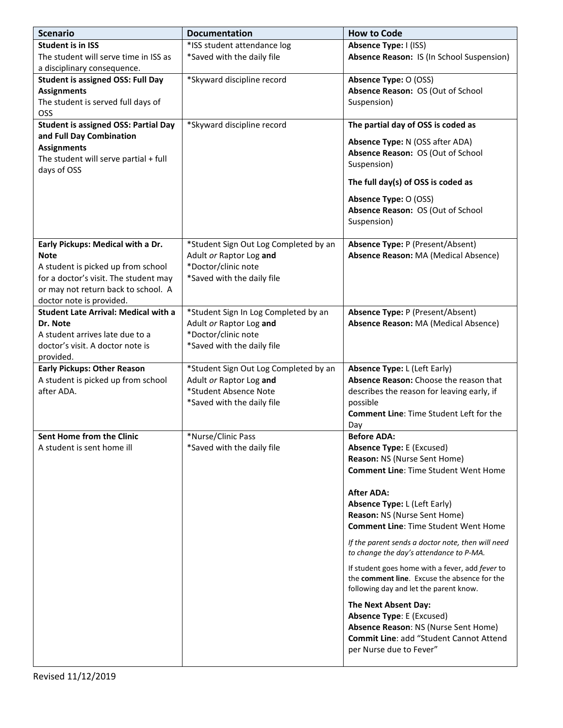| <b>Scenario</b>                             | <b>Documentation</b>                           | <b>How to Code</b>                                                                                                                                                     |
|---------------------------------------------|------------------------------------------------|------------------------------------------------------------------------------------------------------------------------------------------------------------------------|
| <b>Student is in ISS</b>                    | *ISS student attendance log                    | Absence Type: I (ISS)                                                                                                                                                  |
| The student will serve time in ISS as       | *Saved with the daily file                     | Absence Reason: IS (In School Suspension)                                                                                                                              |
| a disciplinary consequence.                 |                                                |                                                                                                                                                                        |
| <b>Student is assigned OSS: Full Day</b>    | *Skyward discipline record                     | Absence Type: O (OSS)                                                                                                                                                  |
| <b>Assignments</b>                          |                                                | Absence Reason: OS (Out of School                                                                                                                                      |
| The student is served full days of          |                                                | Suspension)                                                                                                                                                            |
| OSS                                         |                                                |                                                                                                                                                                        |
| <b>Student is assigned OSS: Partial Day</b> | *Skyward discipline record                     | The partial day of OSS is coded as                                                                                                                                     |
| and Full Day Combination                    |                                                | Absence Type: N (OSS after ADA)                                                                                                                                        |
| <b>Assignments</b>                          |                                                | Absence Reason: OS (Out of School                                                                                                                                      |
| The student will serve partial + full       |                                                | Suspension)                                                                                                                                                            |
| days of OSS                                 |                                                | The full day(s) of OSS is coded as                                                                                                                                     |
|                                             |                                                |                                                                                                                                                                        |
|                                             |                                                | Absence Type: O (OSS)                                                                                                                                                  |
|                                             |                                                | Absence Reason: OS (Out of School<br>Suspension)                                                                                                                       |
|                                             |                                                |                                                                                                                                                                        |
| Early Pickups: Medical with a Dr.           | *Student Sign Out Log Completed by an          | Absence Type: P (Present/Absent)                                                                                                                                       |
| <b>Note</b>                                 | Adult or Raptor Log and                        | Absence Reason: MA (Medical Absence)                                                                                                                                   |
| A student is picked up from school          | *Doctor/clinic note                            |                                                                                                                                                                        |
| for a doctor's visit. The student may       | *Saved with the daily file                     |                                                                                                                                                                        |
| or may not return back to school. A         |                                                |                                                                                                                                                                        |
| doctor note is provided.                    |                                                |                                                                                                                                                                        |
| <b>Student Late Arrival: Medical with a</b> | *Student Sign In Log Completed by an           | Absence Type: P (Present/Absent)                                                                                                                                       |
| Dr. Note<br>A student arrives late due to a | Adult or Raptor Log and<br>*Doctor/clinic note | Absence Reason: MA (Medical Absence)                                                                                                                                   |
| doctor's visit. A doctor note is            | *Saved with the daily file                     |                                                                                                                                                                        |
| provided.                                   |                                                |                                                                                                                                                                        |
| <b>Early Pickups: Other Reason</b>          | *Student Sign Out Log Completed by an          | <b>Absence Type: L (Left Early)</b>                                                                                                                                    |
| A student is picked up from school          | Adult or Raptor Log and                        | Absence Reason: Choose the reason that                                                                                                                                 |
| after ADA.                                  | *Student Absence Note                          | describes the reason for leaving early, if                                                                                                                             |
|                                             | *Saved with the daily file                     | possible                                                                                                                                                               |
|                                             |                                                | <b>Comment Line: Time Student Left for the</b>                                                                                                                         |
|                                             |                                                | Day                                                                                                                                                                    |
| Sent Home from the Clinic                   | *Nurse/Clinic Pass                             | <b>Before ADA:</b>                                                                                                                                                     |
| A student is sent home ill                  | *Saved with the daily file                     | <b>Absence Type: E (Excused)</b>                                                                                                                                       |
|                                             |                                                | Reason: NS (Nurse Sent Home)                                                                                                                                           |
|                                             |                                                | <b>Comment Line: Time Student Went Home</b>                                                                                                                            |
|                                             |                                                | <b>After ADA:</b>                                                                                                                                                      |
|                                             |                                                | <b>Absence Type: L (Left Early)</b>                                                                                                                                    |
|                                             |                                                | Reason: NS (Nurse Sent Home)                                                                                                                                           |
|                                             |                                                | <b>Comment Line: Time Student Went Home</b>                                                                                                                            |
|                                             |                                                | If the parent sends a doctor note, then will need<br>to change the day's attendance to P-MA.                                                                           |
|                                             |                                                | If student goes home with a fever, add fever to<br>the comment line. Excuse the absence for the                                                                        |
|                                             |                                                | following day and let the parent know.                                                                                                                                 |
|                                             |                                                | The Next Absent Day:<br><b>Absence Type: E (Excused)</b><br>Absence Reason: NS (Nurse Sent Home)<br>Commit Line: add "Student Cannot Attend<br>per Nurse due to Fever" |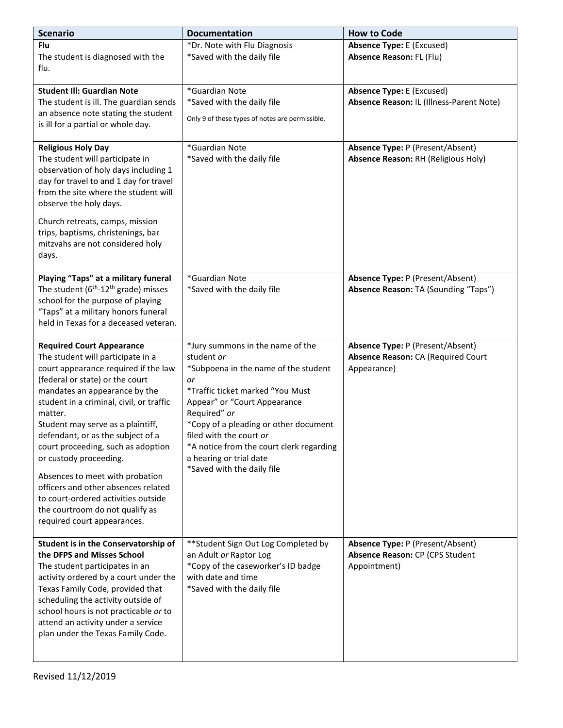| <b>Scenario</b>                                                                                                                                                                                                                                                                                                                                                                                                                                                                                                                                                       | <b>Documentation</b>                                                                                                                                                                                                                                                                                                                                      | <b>How to Code</b>                                                                    |
|-----------------------------------------------------------------------------------------------------------------------------------------------------------------------------------------------------------------------------------------------------------------------------------------------------------------------------------------------------------------------------------------------------------------------------------------------------------------------------------------------------------------------------------------------------------------------|-----------------------------------------------------------------------------------------------------------------------------------------------------------------------------------------------------------------------------------------------------------------------------------------------------------------------------------------------------------|---------------------------------------------------------------------------------------|
| <b>Flu</b><br>The student is diagnosed with the<br>flu.                                                                                                                                                                                                                                                                                                                                                                                                                                                                                                               | *Dr. Note with Flu Diagnosis<br>*Saved with the daily file                                                                                                                                                                                                                                                                                                | <b>Absence Type: E (Excused)</b><br><b>Absence Reason: FL (Flu)</b>                   |
| <b>Student III: Guardian Note</b><br>The student is ill. The guardian sends<br>an absence note stating the student<br>is ill for a partial or whole day.                                                                                                                                                                                                                                                                                                                                                                                                              | *Guardian Note<br>*Saved with the daily file<br>Only 9 of these types of notes are permissible.                                                                                                                                                                                                                                                           | <b>Absence Type: E (Excused)</b><br>Absence Reason: IL (Illness-Parent Note)          |
| <b>Religious Holy Day</b><br>The student will participate in<br>observation of holy days including 1<br>day for travel to and 1 day for travel<br>from the site where the student will<br>observe the holy days.<br>Church retreats, camps, mission<br>trips, baptisms, christenings, bar<br>mitzvahs are not considered holy                                                                                                                                                                                                                                         | *Guardian Note<br>*Saved with the daily file                                                                                                                                                                                                                                                                                                              | Absence Type: P (Present/Absent)<br>Absence Reason: RH (Religious Holy)               |
| days.<br>Playing "Taps" at a military funeral<br>The student $(6th-12th$ grade) misses<br>school for the purpose of playing<br>"Taps" at a military honors funeral<br>held in Texas for a deceased veteran.                                                                                                                                                                                                                                                                                                                                                           | *Guardian Note<br>*Saved with the daily file                                                                                                                                                                                                                                                                                                              | Absence Type: P (Present/Absent)<br>Absence Reason: TA (Sounding "Taps")              |
| <b>Required Court Appearance</b><br>The student will participate in a<br>court appearance required if the law<br>(federal or state) or the court<br>mandates an appearance by the<br>student in a criminal, civil, or traffic<br>matter.<br>Student may serve as a plaintiff,<br>defendant, or as the subject of a<br>court proceeding, such as adoption<br>or custody proceeding.<br>Absences to meet with probation<br>officers and other absences related<br>to court-ordered activities outside<br>the courtroom do not qualify as<br>required court appearances. | *Jury summons in the name of the<br>student or<br>*Subpoena in the name of the student<br>or<br>*Traffic ticket marked "You Must<br>Appear" or "Court Appearance<br>Required" or<br>*Copy of a pleading or other document<br>filed with the court or<br>*A notice from the court clerk regarding<br>a hearing or trial date<br>*Saved with the daily file | Absence Type: P (Present/Absent)<br>Absence Reason: CA (Required Court<br>Appearance) |
| Student is in the Conservatorship of<br>the DFPS and Misses School<br>The student participates in an<br>activity ordered by a court under the<br>Texas Family Code, provided that<br>scheduling the activity outside of<br>school hours is not practicable or to<br>attend an activity under a service<br>plan under the Texas Family Code.                                                                                                                                                                                                                           | ** Student Sign Out Log Completed by<br>an Adult or Raptor Log<br>*Copy of the caseworker's ID badge<br>with date and time<br>*Saved with the daily file                                                                                                                                                                                                  | Absence Type: P (Present/Absent)<br>Absence Reason: CP (CPS Student<br>Appointment)   |